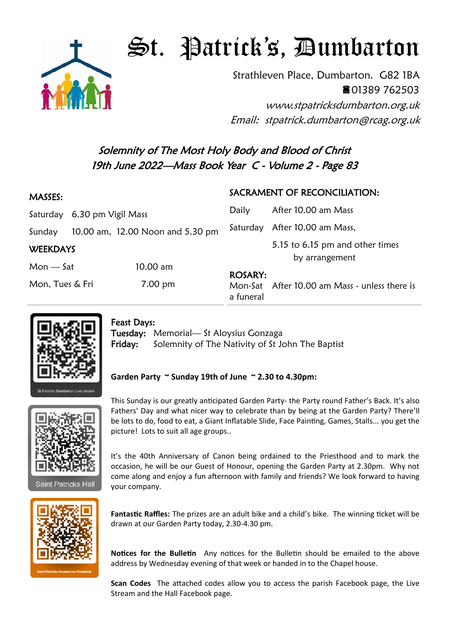

## $\mathfrak{S}$ t. Patrick's, Dumbarton

Strathleven Place, Dumbarton. G82 1BA 01389 762503

www.stpatricksdumbarton.org.uk Email: stpatrick.dumbarton@rcag.org.uk

## Solemnity of The Most Holy Body and Blood of Christ 19th June 2022—Mass Book Year C - Volume 2 - Page 83

| 5.15 to 6.15 pm and other times               |
|-----------------------------------------------|
|                                               |
| Mon-Sat After 10.00 am Mass - unless there is |
|                                               |



## Feast Days:

Tuesday: Memorial— St Aloysius Gonzaga Friday: Solemnity of The Nativity of St John The Baptist

## **Garden Party ~ Sunday 19th of June ~ 2.30 to 4.30pm:**



Saint Patricks Hall



This Sunday is our greatly anticipated Garden Party- the Party round Father's Back. It's also Fathers' Day and what nicer way to celebrate than by being at the Garden Party? There'll be lots to do, food to eat, a Giant Inflatable Slide, Face Painting, Games, Stalls... you get the picture! Lots to suit all age groups..

It's the 40th Anniversary of Canon being ordained to the Priesthood and to mark the occasion, he will be our Guest of Honour, opening the Garden Party at 2.30pm. Why not come along and enjoy a fun afternoon with family and friends? We look forward to having your company.

**Fantastic Raffles:** The prizes are an adult bike and a child's bike. The winning ticket will be drawn at our Garden Party today, 2.30-4.30 pm.

**Notices for the Bulletin** Any notices for the Bulletin should be emailed to the above address by Wednesday evening of that week or handed in to the Chapel house.

**Scan Codes** The attached codes allow you to access the parish Facebook page, the Live Stream and the Hall Facebook page.